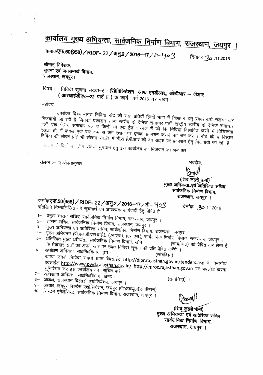## कार्यालय मुख्य अभियन्ता, सार्वजनिक निर्माण विभाग, राजस्थान, जयपुर ।

क्रमांक**एफ.50(958) / RIDF- 22 / अनु.2 / 2016-17** / डी-  $40.3$ 

*~; 30.11.2016*

श्रीमान निदेशक **~ ~ \JI'1't1Jqc6~.** राजस्थान, जयपुर।

विषय :-- निविदा सूचना संख्या--6 : **रिहेविलिटेशन आफ एमडीआर,, ओडीआर -- वीआर** (आरआईसेएफ-22 पार्ट II ) के कार्य वर्ष 2016-17 बाबत्।

महोदय

उपरोक्त विषयान्तर्गत निविदा नोट की सात प्रतियॉ हिन्दी भाषा में विज्ञापन हेतु प्रकाशनार्थ संलग्न कर भिजवायी जा रही है जिनका प्रकाशन राज्य स्तरीय दो दैनिक समाचार पत्रों, राष्ट्रीय स्तरीय दो दैनिक समाचार पत्रों, एक क्षेत्रीय समाचार पत्र व किसी भी एक ट्रेड जरनल में जो कि निविदा विज्ञापित करने में विशिष्टता रखता हो, में केवल एक बार कम से कम स्थान पर इनका प्रकाशन कराने का श्रम करें । नोट की व विस्तृत निविदा की सोफ्ट प्रति भी संलग्न सी.डी. में डी.आई.पी.आर की वेब साईट पर प्रकाशन हेतु भिजवायी जा रही है।<br>प्रकाशन के विलों की होन प्रतियाँ भुगतान हेतु इस कार्यालय को भिजवाने का श्रम करें ।

संलग्न :-- उपरोक्तानुसार

भवदीयः

(शिव लहरी श्रम) मुख्य अभियन्ता एवं अतिरिक्त सचिव सार्वजनिक निर्माण विभाग, राजस्थान, जयपुर ।

क्रमांक**एफ.50(958) / RIDF- 22 / अनु.2 / 2016-17** / डी-  $4$ 03 प्रतिलिपि निम्नालिखित को सूचनार्थ एवं आवश्यक कार्यवाही हेतु प्रेषित हे :--

11.2016. **ح3**. दिनांक:

- 1-- प्रमुख शासन सचिव, सार्वजनिक निर्माण विभाग, राजस्थान, जयपुर । 2– शॉसन सचिव, सार्वजनिक निर्माण विभाग, राजस्थान, जयपुर ।
- 
- 3–) मुख्य अभियन्ता एवं अतिरिक्त सचिव, सार्वजनिक निर्माण विभाग, राजस्थान, जयपुर ।
- ्राज्य जन्मन्ता (भाएन.जा.एस.वाइ.), (एन.एच.), (एस.एस.), सार्वजनिक निर्माण विभाग, जन्मकान्त्र, नन्मन्त्र, ,  $\frac{1}{\sqrt{2}}$   $\frac{1}{\sqrt{2}}$   $\frac{1}{\sqrt{2}}$   $\frac{1}{\sqrt{2}}$   $\frac{1}{\sqrt{2}}$   $\frac{1}{\sqrt{2}}$   $\frac{1}{\sqrt{2}}$   $\frac{1}{\sqrt{2}}$   $\frac{1}{\sqrt{2}}$   $\frac{1}{\sqrt{2}}$   $\frac{1}{\sqrt{2}}$   $\frac{1}{\sqrt{2}}$   $\frac{1}{\sqrt{2}}$   $\frac{1}{\sqrt{2}}$   $\frac{1}{\sqrt{2}}$   $\frac{1}{\sqrt{2}}$   $\frac{1}{\sqrt{2}}$ f — अंतिरिक्त मुख्य अभियंता, सार्वजनिक निर्माण विभाग, जोन — (सम्बन्धित) को प्रेषित कर लेख है<br>कि ठेकेदार संघों को अपने स्तर पर उक्त निविदा सूचना की प्रति प्रेषित करेंगे ।
- $6-$  अधीक्षण अभियंता, सा $6\pi$ , सुत $-$ ,  $\frac{1}{2}$ ,  $\frac{1}{2}$ ,  $\frac{1}{2}$ ,  $\frac{1}{2}$ ,  $\frac{1}{2}$ ,  $\frac{1}{2}$ ,  $\frac{1}{2}$ ,  $\frac{1}{2}$ ,  $\frac{1}{2}$ ,  $\frac{1}{2}$ ,  $\frac{1}{2}$ ,  $\frac{1}{2}$ ,  $\frac{1}{2}$ ,  $\frac{1}{2}$ ,  $\frac{1}{2}$ ,  $\frac{1}{2}$ ,  $\frac{1$ कृपया उनके निविदा संबंधी प्रपत्र वेबसाईट http://dipr.rajasthan.gov.in/tenders.asp व विभागीय वेबसाईट <u>http://www.pwd.rajasthan.gov.in</u>//dipr.rajasthan.gov.in/tenders.asp व विभागीय<br>सुनिश्चित कर इस कार्यालय को सुचित करें।
- सुनिश्चित कर इस कार्यालय को सूचित करें।<br>7– अधिशाषी अभियंता, सा0नि0विभाग, खण्ड –
- 8-- अध्यक्ष, राजस्थान बिल्डर्स एशोसियेशन, जयपुर ।
	-
- ९- अध्यक्ष, जयपुर बिर्ल्डस एशोसियेशन, जयपुर (पी०डब्ल्यू०डी० कैम्पस)

 $10-$  सिस्टम एनेर्लेसिस्ट, सार्वजनिक निर्माण विभाग, राजस्थान, जयपुर ।

Braus

(शिवृ लहसे शर्मा) मुख्य अभियन्ता एवं अतिरिक्त सचिव सार्वजनिक निर्माण विभाग, राजस्थान, जयपुर ।

(सम्बन्धित) ।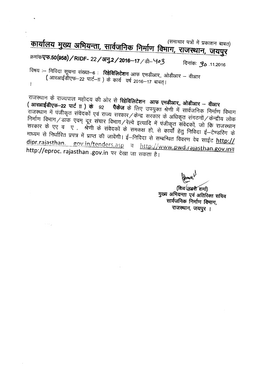(समाचार पत्रों में प्रकाशन बा  $\frac{1}{1000}$  . The case of the case of the property  $\frac{1}{1000}$  and  $\frac{1}{1000}$ 

## क्रमांक**एफ.50(958) / RIDF- 22 / अनु.2 / 2016--17** / डी- Yo3

**~: 30.11.2016**

विषय :-- निविदा सूचना संख्या--6 : **रिहेविलिटेशन** आफ एमडीआर,, ओडीआर -- वीआर (आरआईडीएफ-22 पार्ट--IT) के कार्य वर्ष 2016-17 बाबत्।  $\overline{1}$ 

*राजस्थान के राज्यपाल महोदय की ओर से रिहेविलिटेशन आफ एमडीआर, ओडीआर – वीआर* **( आरआईडीएफ–22 पार्ट T ) के** 92 **पैकेज** के लिए उपयुक्त श्रेणी में सार्वजनिक निर्माण विभाग ~<br>राजस्थान में पंजीकृत संवेदकों एवं राज्य सरकार ⁄ केन्द्र सरकार के अधिकृत संगठनों ⁄ केन्द्रीय लोक निर्माण विभाग/डाक एवम् दूर संचार विभाग/रेल्वे इत्यादि में पंजीकृत संवेदकों, जो कि राजस्थान सरकार के एए व ए , `श्रेणी के संवेदकों के समकक्ष हो, से कार्यों हेतु निविदा ई-टेण्डरिंग के माध्यम से निर्धारित प्रपत्र में प्राप्त की जावेंगी। ई–निविदा से सम्बन्धित विवरण वेब साईट http:// dipr.rajasthan. gov.in/tenders.asp a http://www.pwd.rajasthan.gov.ina http://eproc. rajasthan .gov.in पर देखा जा सकता है।

(शिव (लझ्शे शर्मा)

मुख्य अभियन्ता एवं अतिरिक्त सचिव सार्वजनिक निर्माण विमाग, राजस्थान, जयपुर ।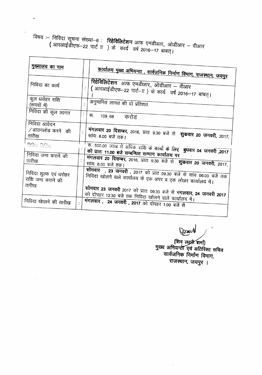## $\frac{1}{100}$  : finds wat Real-6 : **Redded Yi** Mus  $\frac{1}{100}$  and  $\frac{1}{100}$  $\binom{3}{3}$   $\binom{3}{3}$   $\binom{4}{3}$   $\binom{4}{4}$   $\binom{4}{5}$   $\binom{4}{6}$   $\binom{4}{7}$   $\binom{4}{9}$   $\binom{4}{16}$   $\binom{4}{16}$   $\binom{4}{16}$   $\binom{4}{16}$   $\binom{4}{16}$   $\binom{4}{16}$   $\binom{4}{16}$   $\binom{4}{16}$   $\binom{4}{16}$   $\binom{4}{16}$   $\binom{4}{16}$

 $\ddot{\phantom{0}}$ 

I

| मुख्यालय का नाम                                      |                |                                                                                                                                                                                                |
|------------------------------------------------------|----------------|------------------------------------------------------------------------------------------------------------------------------------------------------------------------------------------------|
|                                                      |                | <u>कार्यालय मुख्य अभियन्ता , सार्वजनिक निर्माण विभाग, राजस्थान, जयपुर</u>                                                                                                                      |
| निविदा का कार्य                                      |                | रिहेविलिटेशन आफ एमडीआर, ओडीआर – वीआर<br>  ( आरआईडीएफ−22 पार्ट−π ) के कार्य वर्ष 2016−17 बाबत्।                                                                                                 |
| कुल धरोहर राशि<br>(रूपयों में)                       |                | अनुमानित लागत की दो प्रतिशत                                                                                                                                                                    |
| निविदा की कुल लागत                                   | $\mathbb{Z}^+$ | रू. 109,68 करोड                                                                                                                                                                                |
| निविदा आवेदन<br>$\sqrt{3}$ उाउनलोड करने की<br>तारीख  |                | मंगलवार 20 दिसम्बर, 2016, प्रातः 9.30 बजे से शुकवार 20 जनवरी, 2017,                                                                                                                            |
| प्रदारा प्रदाय<br>निविदा जमा कराने की<br>तारीख       |                | क. 500.00 लाख से अधिक राशि के कार्यो के लिए बुधवार 04 जनवरी ,2017<br>को प्रातः 11.00 बजे सम्बन्धित सम्भाग कार्यालय पर<br>मंगलवार 20 दिसम्बर, 2016, प्रातः 9.30 बजे से शुक्रवार 20 जनवरी, 2017, |
| निविदा शुल्क एवं धरोहर<br>राशि जमा कराने की<br>तारीख |                | सांयः 6.00 बजे तक।<br>सोमवार , 23 जनवरी , 2017 को प्रात 09.30 बजे से सांय 06:00 बजे तक<br>निविदा खोलने वाले कार्यालय के एक अपर व एक लोअर कार्यालय में।                                         |
| निविदा खेालने की तारीख                               |                | सोमवार 23 जनवरी 2017 को प्रातः 09.30 बजे से मंगलवार, 24 जनवरी 2017<br>को दोपहर 12:30 बजे तक निविदा खोलने वाले कार्यालय में।<br>मंगलवार, 24 जनवरी, 2017 को दोपहर 1.00 बजे से                    |

Joseph

(शिव लहरी शर्मा)<br>मुख्य अभियन्ता एवं अतिरिक्त सचिव<br>सार्वजनिक निर्माण विभाग,<br>जानकार जानकार राजस्थान, जयपुर ।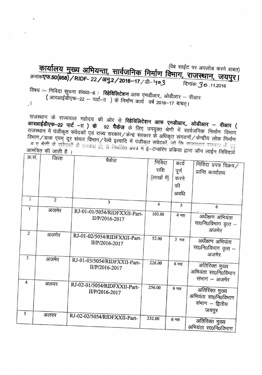(वेब साईट पर अपलोड करने बाबत) <u>कार्यालय मुख्य अभियन्ता, सार्वजनिक निर्माण विभाग, राजस्थान, जयपुर।</u> कर्माक**एफ.50(958)/RIDF- 22/अनु.2/2016-17**/डी- Yo3 दिनांक: 3o .11.2016

विषय :-- निविदा सूचना संख्या--6 : **रिहेविलिटेशन** आफ एमडीआर, ओडीआर -- वीआर ( आरआईडीएफ-22 - पार्ट-IT) के निर्माण कार्य वर्ष 2016-17 बाबत्।  $\mathcal{A}$ 

राजस्थान के राज्यपाल महोदय की ओर से <mark>रिहेविलिटेशन आफ एमडीआर,, ओडीआर — वीआर (</mark><br><mark>आरआईडीएफ—22 पार्ट —ाा ) के</mark> 92 **पैकेज** के लिए उपयुक्त शेणी में उन्हों कि बैद्यार — वीआर ( र सरसान पर राज्यपाल महादय की ओर से **रिहेविलिटेशन आफ एमडीआर,, ओडीआर – वीआर (**<br>**आरआईडीएफ–22 पार्ट –ाा ) के** 92 **पैकेज** के लिए उपयुक्त श्रेणी में सार्वजनिक निर्माण विभाग<br>राजस्थान में पंजीकृत संवेदकों एवं राज्य सरकार / केन्द्  $\frac{1}{10}$  ,  $\frac{1}{10}$  ,  $\frac{1}{22}$  and  $\frac{1}{10}$  ,  $\frac{1}{9}$  ,  $\frac{1}{9}$  ,  $\frac{1}{9}$  ,  $\frac{1}{9}$  ,  $\frac{1}{10}$  ,  $\frac{1}{10}$  ,  $\frac{1}{10}$  ,  $\frac{1}{10}$  ,  $\frac{1}{10}$  ,  $\frac{1}{10}$  ,  $\frac{1}{10}$  ,  $\frac{1}{10}$  ,  $\frac{1}{10}$  , ्ति में मैं स्थापूरा संपर्दका एवं राज्य सरकार / केन्द्र सरकार के अधिकृत संगठनों / केन्द्रीय लोक निर्माण<br>विभाग / डाक एवम् दूर संचार विभाग / रेल्वे इत्यादि में पंजीकृत संवेदकों, जो कि राजरथान रास्कार के एए<br>कांधि के संवेदकों आमंत्रित की जाती है ।

| SP. H.         | जिला           | पैकेज                        |                         |                  |                        |
|----------------|----------------|------------------------------|-------------------------|------------------|------------------------|
|                |                |                              | निविदा                  | कार्य            | निविदा प्रपत्र विक्रय/ |
|                |                |                              | राशि                    | पूर्ण            | प्राप्ति कार्यालय      |
|                |                |                              |                         |                  |                        |
|                |                |                              | (लाखों में)             | करने             |                        |
|                |                |                              |                         | की               |                        |
|                |                |                              |                         | अवधि             |                        |
| $\bf{l}$       | $\overline{2}$ | $\overline{3}$               |                         |                  |                        |
|                |                |                              | $\overline{\mathbf{4}}$ | $\overline{5}$   | 6                      |
| $\mathbf{I}$   | अजमेर          | RJ-01-01/5054/RIDFXXII-Part- | 103.00                  |                  |                        |
|                |                | II/P/2016-2017               |                         | $4 \overline{4}$ | अधीक्षण अभियंता        |
|                |                |                              |                         |                  | सा0नि0विभाग वृत्त –    |
|                |                |                              |                         |                  | अजमेर                  |
| $\overline{2}$ | अजमेर          | RJ-01-02/5054/RIDFXXII-Part- |                         |                  |                        |
|                |                |                              | 52.00                   | 3 माह            | अधीक्षण अभियंता        |
|                |                | II/P/2016-2017               |                         |                  | सा0नि0विभाग वृत्त –    |
|                |                |                              |                         |                  | अजमेर                  |
| $\overline{3}$ | अजमेर          |                              |                         |                  |                        |
|                |                | RJ-01-03/5054/RIDFXXII-Part- | 226.00                  | $6 \text{ H}$ ह  | अतिरिक्त मुख्य         |
|                |                | II/P/2016-2017               |                         |                  | अभियंता सा0निoविभाग    |
|                |                |                              |                         |                  |                        |
| 4              |                |                              |                         |                  | संभाग – अजमेर          |
|                | अलवर           | RJ-02-01/5054/RIDFXXII-Part- | 256.00                  | 6 माह            |                        |
|                |                | II/P/2016-2017               |                         |                  | अतिरिक्त मुख्य         |
|                |                |                              |                         |                  | अभियंता सा0नि0विभाग    |
|                |                |                              |                         |                  | संभाग – द्वितीय        |
| $\overline{5}$ |                |                              |                         |                  | जयपुर                  |
|                | अलवर           | RJ-02-02/5054/RIDFXXII-Part- | 252.00                  | $6 \text{ m}$ ह  |                        |
|                |                |                              |                         |                  | अतिरिक्त मुख्य         |
|                |                |                              |                         |                  | अभियंता सा0नि0विभाग    |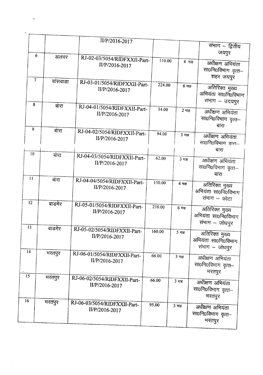|                 |                             | II/P/2016-2017                                 |        |                  |                                                         |
|-----------------|-----------------------------|------------------------------------------------|--------|------------------|---------------------------------------------------------|
|                 |                             |                                                |        |                  | संभाग – द्वितीय<br>जयपुर                                |
|                 | 6<br>अलवर<br>$\overline{7}$ | RJ-02-03/5054/RIDFXXII-Part-<br>II/P/2016-2017 | 110.00 | 4 माह            | अधीक्षण अभियंता<br>सा0नि0विभाग वृत्त–<br>शहर जयपुर      |
| 8               | वांसवाडा                    | RJ-03-01/5054/RIDFXXII-Part-<br>II/P/2016-2017 | 224.00 | $6 \overline{4}$ | अतिरिक्त मुख्य<br>अभियंता सा0नि0विभाग<br>संभाग – उदयपुर |
| $\overline{9}$  | बारा                        | RJ-04-01/5054/RIDFXXII-Part-<br>II/P/2016-2017 | 34.00  | 2 माह            | अधीक्षण अभियंता<br>सा0नि0विभाग वृत्त–<br>बांरा          |
|                 | बंारा                       | RJ-04-02/5054/RIDFXXII-Part-<br>II/P/2016-2017 | 94.00  | 3 माह            | अधीक्षण अभियंता<br>सा0नि0विभाग वृत्त–<br>बांरा          |
| 10              | बारा                        | RJ-04-03/5054/RIDFXXII-Part-<br>II/P/2016-2017 | 62.00  | 3 माह            | अधीक्षण अभियंता<br>सा0नि0विभाग वृत्त–<br>बांरा          |
| 11              | बारा                        | RJ-04-04/5054/RIDFXXII-Part-<br>II/P/2016-2017 | 150.00 | 4 माह            | अतिरिक्त मुख्य<br>अभियंता सा0नि0विभाग<br>संभाग – कोटा   |
| 12              | बाडमेर                      | RJ-05-01/5054/RIDFXXII-Part-<br>II/P/2016-2017 | 210.00 | $6 \pi$ ह        | अतिरिक्त मुख्य<br>अभियंता सा0नि0विभाग<br>संभाग - जोधपुर |
| 13<br>14        | बाडमेर                      | RJ-05-02/5054/RIDFXXII-Part-<br>II/P/2016-2017 | 160.00 | $5 \text{ m}$ ह  | अतिरिक्त मुख्य<br>अभियंता सा0नि0विभाग<br>संभाग - जोधपुर |
| $\overline{15}$ | भरतपुर                      | RJ-06-01/5054/RIDFXXII-Part-<br>II/P/2016-2017 | 66.00  | 3 माह            | अधीक्षण अभियंता<br>सा0नि0विभाग वृत्त–<br>भरतपुर         |
| 16              | भरतपुर                      | RJ-06-02/5054/RIDFXXII-Part-<br>II/P/2016-2017 | 66.00  | 3 माह            | अधीक्षण अभियंता<br>सा0नि0विभाग वृत्त–<br>भरतपुर         |
|                 | भरतपुर                      | RJ-06-03/5054/RIDFXXII-Part-<br>II/P/2016-2017 | 95.00  | 3 माह            | अधीक्षण अभियंता<br>सा0नि0विभाग वृत्त—<br>भरतपुर         |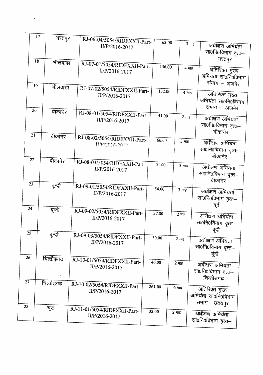|    | 17       |            |                                                |        |           |                    |                                                        |
|----|----------|------------|------------------------------------------------|--------|-----------|--------------------|--------------------------------------------------------|
|    |          | भरतपुर     | RJ-06-04/5054/RIDFXXII-Part-<br>II/P/2016-2017 | 63.00  |           | $3 \overline{H}$ ह | अधीक्षण अभियंता<br>सा0नि0विभाग वृत्त—                  |
|    | 18       | भीलवाडा    | RJ-07-01/5054/RIDFXXII-Part-                   |        |           |                    | भरतपुर                                                 |
|    |          |            | II/P/2016-2017                                 | 156.00 |           | 4 माह              | अतिरिक्त मुख्य<br>अभियंता सा0नि0विभाग<br>संभाग - अजमेर |
|    | 19       | भीलवाडा    | RJ-07-02/5054/RIDFXXII-Part-<br>II/P/2016-2017 | 132.00 |           | 4 माह              | अतिरिक्त मुख्य<br>अभियंता सा0नि0विभाग<br>संभाग – अजमेर |
|    | 20<br>21 | बीकानेर    | RJ-08-01/5054/RIDFXXII-Part-<br>II/P/2016-2017 | 41.00  |           | $2 \pi \epsilon$   | अधीक्षण अभियंता<br>सा0नि0विभाग वृत्त-<br>बीकानेर       |
| 22 |          | बीकानेर    | RJ-08-02/5054/RIDFXXII-Part-<br>HP/2016-2017   | 66.00  |           | $3 \frac{1}{18}$   | अधीक्षण अभियंता<br>सा0नि0विभाग वृत्त–<br>बीकानेर       |
| 23 |          | बीकानेर    | RJ-08-03/5054/RIDFXXII-Part-<br>II/P/2016-2017 | 51.00  |           | 3 माह              | अधीक्षण अभियंता<br>सा0नि0विभाग वृत्त–<br>बीकानेर       |
| 24 |          | बून्दी     | RJ-09-01/5054/RIDFXXII-Part-<br>II/P/2016-2017 | 54.00  |           | $3 \overline{4}$   | अधीक्षण अभियंता<br>सा0नि0विभाग वृत्त–<br>बूंदी         |
| 25 |          | बून्दी     | RJ-09-02/5054/RIDFXXII-Part-<br>II/P/2016-2017 | 37.00  | 2 माह     |                    | अधीक्षण अभियंता<br>सा0नि0विभाग वृत्त–<br>बूंदी         |
| 26 |          | बून्दी     | RJ-09-03/5054/RIDFXXII-Part-<br>II/P/2016-2017 | 50.00  | $2 \pi$ ह |                    | अधीक्षण अभियंता<br>सा0नि0विभाग वृत्त–<br>बूंदी         |
| 27 |          | चित्तौड़गढ | RJ-10-01/5054/RIDFXXII-Part-<br>II/P/2016-2017 | 46.00  | $2 \pi$ ह |                    | अधीक्षण अभियंता<br>सा0नि0विभाग वृत्त-<br>यित्तोड़गढ    |
| 28 |          | चित्तौड़गढ | RJ-10-02/5054/RIDFXXII-Part-<br>II/P/2016-2017 | 261.00 | $6$ माह   |                    | अतिरिक्त मुख्य<br>अभियंता सा0नि0विभाग<br>संभाग -उदयपुर |
|    |          | चूरू       | RJ-11-01/5054/RIDFXXII-Part-<br>II/P/2016-2017 | 33.00  | 2 माह     |                    | अधीक्षण अभियंता<br>सा0नि0विभाग वृत्त–                  |

 $\ddot{\phantom{a}}$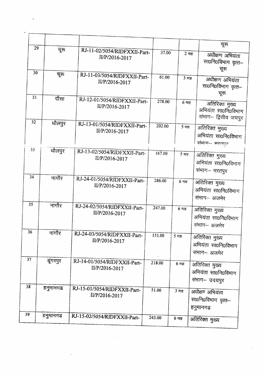| 29 | चूरू     |                                                |        |                          | चूरू                                                          |
|----|----------|------------------------------------------------|--------|--------------------------|---------------------------------------------------------------|
|    |          | RJ-11-02/5054/RIDFXXII-Part-<br>II/P/2016-2017 | 37.00  | $2 \pi$ ह                | अधीक्षण अभियंता<br>सा0नि0विभाग वृत्त–<br>चूरू                 |
| 30 | चूरू     | RJ-11-03/5054/RIDFXXII-Part-<br>II/P/2016-2017 | 61.00  | 3 माह                    | अधीक्षण अभियंता<br>सा0नि0विभाग वृत्त–<br>चूरू                 |
| 31 | दौसा     | RJ-12-01/5054/RIDFXXII-Part-<br>II/P/2016-2017 | 278.00 | $6$ माह                  | अतिरिक्त मुख्य<br>अभियंता सा0नि0विभाग<br>संभाग- द्वितीय जयपुर |
| 32 | धौलपुर   | RJ-13-01/5054/RIDFXXII-Part-<br>II/P/2016-2017 | 202.00 | 5 माह                    | अतिरिक्त मुख्य<br>अभियंता सा0नि0विभाग<br>संभाग- भरतपुर        |
| 33 | धौलपुर   | RJ-13-02/5054/RIDFXXII-Part-<br>II/P/2016-2017 | 167.00 | $5 \text{ }\overline{4}$ | अतिरिक्त मुख्य<br>अभियंता सा0नि0विभाग<br>संभाग- भरतपुर        |
| 34 | नागौर    | RJ-24-01/5054/RIDFXXII-Part-<br>II/P/2016-2017 | 286.00 | $6 \pi$ ह                | अतिरिक्त मुख्य<br>अभियंता सा0नि0विभाग<br>संभाग- अजमेर         |
| 35 | नागौर    | RJ-24-02/5054/RIDFXXII-Part-<br>II/P/2016-2017 | 247.00 | $6 \pi$                  | अतिरिक्त मुख्य<br>अभियंता सा0नि0विभाग<br>संभाग- अजमेर         |
| 36 | नागौर    | RJ-24-03/5054/RIDFXXII-Part-<br>II/P/2016-2017 | 151.00 | $5 \text{ m}$ ह          | अतिरिक्त मुख्य<br>अभियंता सा0नि0विभाग<br>संभाग– अजमेर         |
| 37 | डूंगरपुर | RJ-14-01/5054/RIDFXXII-Part-<br>II/P/2016-2017 | 218.00 | 6 माह                    | अतिरिक्त मुख्य<br>अभियंता सा0नि0विभाग<br>संभाग- उदयपुर        |
| 38 | हनुमानगढ | RJ-15-01/5054/RIDFXXII-Part-<br>II/P/2016-2017 | 51.00  | 3 माह                    | अधीक्षण अभियंता<br>सा0नि0विभाग वृत्त-<br>हनुमानगढ             |
| 39 | हनुमानगढ | RJ-15-02/5054/RIDFXXII-Part-                   | 243.00 | $6$ माह                  | अतिरिक्त मुख्य                                                |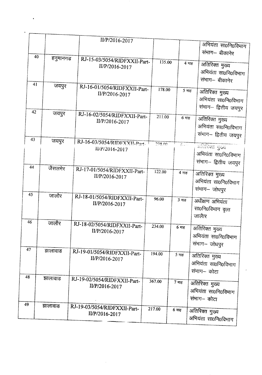|    |    |          | II/P/2016-2017                                 |        |        |                    |                      |
|----|----|----------|------------------------------------------------|--------|--------|--------------------|----------------------|
|    |    |          |                                                |        |        |                    | अभियंता सा0नि0विभाग  |
|    |    |          |                                                |        |        |                    | संभाग— बीकानेर       |
|    | 40 | हनुमानगढ | RJ-15-03/5054/RIDFXXII-Part-                   |        | 135.00 |                    | 4 माह                |
|    |    |          | II/P/2016-2017                                 |        |        |                    | अतिरिक्त मुख्य       |
|    |    |          |                                                |        |        |                    | अभियंता सा0नि0विभाग  |
|    | 41 |          |                                                |        |        |                    | संभाग- बीकानेर       |
|    |    | जयपुर    | RJ-16-01/5054/RIDFXXII-Part-                   |        | 178.00 | $5 - \frac{1}{2}$  |                      |
|    |    |          | II/P/2016-2017                                 |        |        |                    | अतिरिक्त मुख्य       |
|    |    |          |                                                |        |        |                    | अभियंता सा0नि0विभाग  |
|    | 42 |          |                                                |        |        |                    | संभाग– द्वितीय जयपुर |
|    |    | जयपुर    | RJ-16-02/5054/RIDFXXII-Part-                   |        | 211.00 | $6 \pi$ ह          | अतिरिक्त मुख्य       |
|    |    |          | II/P/2016-2017                                 |        |        |                    | अभियंता सा0नि0विभाग  |
|    |    |          |                                                |        |        |                    |                      |
| 43 |    |          |                                                |        |        |                    | संभाग- द्वितीय जयपुर |
|    |    | जयपुर    | RJ-16-03/5054/RIDFXXII-Part-                   |        | 238.00 | $\overline{K}$ and | अतिरिक्त मुख्य       |
|    |    |          | II/P/2016-2017                                 |        |        |                    | अभियंता सा0नि0विभाग  |
|    |    |          |                                                |        |        |                    |                      |
| 44 |    | जैसलमेर  |                                                |        |        |                    | संभाग– द्वितीय जयपुर |
|    |    |          | RJ-17-01/5054/RIDFXXII-Part-                   |        | 122.00 | 4 माह              | अतिरिक्त मुख्य       |
|    |    |          | II/P/2016-2017                                 |        |        |                    | अभियंता सा0नि0विभाग  |
|    |    |          |                                                |        |        |                    | संभाग-जोधपुर         |
| 45 |    | जालौर    |                                                |        |        |                    |                      |
|    |    |          | RJ-18-01/5054/RIDFXXII-Part-<br>II/P/2016-2017 |        | 96.00  | $3 \pi$ ह          | अधीक्षण अभियंता      |
|    |    |          |                                                |        |        |                    | सा0नि0विभाग वृत्त    |
|    |    |          |                                                |        |        |                    | जालैार               |
| 46 |    | जालौर    | RJ-18-02/5054/RIDFXXII-Part-                   |        |        |                    |                      |
|    |    |          | II/P/2016-2017                                 |        | 234.00 | $6$ माह            | अतिरिक्त मुख्य       |
|    |    |          |                                                |        |        |                    | अभियंता सा0नि0विभाग  |
|    |    |          |                                                |        |        |                    | संभाग-जोधपुर         |
| 47 |    | झालावाड  | RJ-19-01/5054/RIDFXXII-Part-                   |        |        |                    |                      |
|    |    |          | II/P/2016-2017                                 |        | 194.00 | $5 \pi$ ह          | अतिरिक्त मुख्य       |
|    |    |          |                                                |        |        |                    | अभियंता सा0नि0विभाग  |
|    |    |          |                                                |        |        |                    | संभाग— कोटा          |
| 48 |    | झालावाड  | RJ-19-02/5054/RIDFXXII-Part-                   | 367.00 |        |                    |                      |
|    |    |          | II/P/2016-2017                                 |        |        | $7 \text{ m}$ ह    | अतिरिक्त मुख्य       |
|    |    |          |                                                |        |        |                    | अभियंता सा0नि0विभाग  |
|    |    |          |                                                |        |        |                    | संभाग– कोटा          |
| 49 |    | झालावाड  | RJ-19-03/5054/RIDFXXII-Part-                   | 217.00 |        | 6 माह              |                      |
|    |    |          | II/P/2016-2017                                 |        |        |                    | अतिरिक्त गुख्य       |
|    |    |          |                                                |        |        |                    | अभियंता सा0नि0विभाग  |

 $\bullet$  .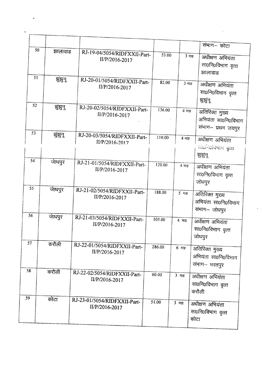|    |               |                                                |        |                          | संभाग– कोटा                                                 |
|----|---------------|------------------------------------------------|--------|--------------------------|-------------------------------------------------------------|
|    | 50<br>झालावाड | RJ-19-04/5054/RIDFXXII-Part-<br>II/P/2016-2017 | 53.00  | $3 \overline{4}$         | अधीक्षण अभियंता<br>सा0नि0विभाग वृत्त<br>झालावाड             |
|    | 51<br>झुंझुन् | RJ-20-01/5054/RIDFXXII-Part-<br>II/P/2016-2017 | 82.00  | $3 \overline{H}$         | अधीक्षण अभियंता<br>सा0नि0विभाग वृत्त<br>झुझुन्              |
| 52 | झुंझुन्       | RJ-20-02/5054/RIDFXXII-Part-<br>II/P/2016-2017 | 136.00 | 4 माह                    | अतिरिक्त मुख्य<br>अभियंता सा0नि0विभाग<br>संभाग- प्रथम जयपुर |
| 53 | झुंझुन्       | RJ-20-03/5054/RIDFXXII-Part-<br>II/P/2016-2017 | 110.00 | 4 माह                    | अधीक्षण अभियंता<br>साठनिर्वामाम वृत्त्व<br>झुझुनू           |
| 54 | जाघपुर        | RJ-21-01/5054/RIDFXXII-Part-<br>II/P/2016-2017 | 120.00 | $4 \pi$ ह                | अधीक्षण अभियंता<br>सा0नि0विभाग वृत्त<br>जोधपुर              |
| 55 | जेाधपुर       | RJ-21-02/5054/RIDFXXII-Part-<br>II/P/2016-2017 | 188.00 | $5 - \frac{1}{2}$        | अतिरिक्त मुख्य<br>अभियंता सा0नि0विभाग<br>संभाग-जोधपुर       |
| 56 | जाधपुर        | RJ-21-03/5054/RIDFXXII-Part-<br>II/P/2016-2017 | 105.00 | 4 माह                    | अधीक्षण अभियंता<br>सा0नि0विभाग वृत्त<br>जोधपुर              |
| 57 | करौली         | RJ-22-01/5054/RIDFXXII-Part-<br>II/P/2016-2017 | 286.00 | $6 \text{ m}$ ह          | अतिरिक्त मुख्य<br>अभियंता सा0नि0विभाग<br>संभाग- भरतपुर      |
| 58 | करौली         | RJ-22-02/5054/RIDFXXII-Part-<br>II/P/2016-2017 | 60.00  | 3 माह                    | अधीक्षण अभियंता<br>सा0नि0विभाग वृत्त<br>करौली               |
| 59 | कोटा          | RJ-23-01/5054/RIDFXXII-Part-<br>II/P/2016-2017 | 51.00  | $3 \text{ }\overline{1}$ | अधीक्षण अभियंता<br>सा0नि0विभाग वृत्त<br>कोटा                |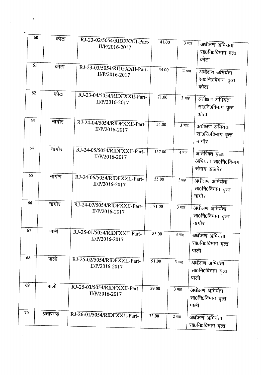|    | 60 | कोटा     | RJ-23-02/5054/RIDFXXII-Part- | 41.00  |                  |                          |
|----|----|----------|------------------------------|--------|------------------|--------------------------|
|    |    |          | II/P/2016-2017               |        |                  | 3 माह<br>अधीक्षण अभियंता |
|    |    |          |                              |        |                  | सा0नि0विभाग वृत्त        |
|    |    |          |                              |        |                  | कोटा                     |
|    | 61 | कोटा     | RJ-23-03/5054/RIDFXXII-Part- | 34.00  | $2 \pi$ ह        |                          |
|    |    |          | II/P/2016-2017               |        |                  | अधीक्षण अभियंता          |
|    |    |          |                              |        |                  | सा0नि0विभाग वृत्त        |
|    |    |          |                              |        |                  | कोटा                     |
|    | 62 | कोटा     | RJ-23-04/5054/RIDFXXII-Part- | 71.00  | $3 \overline{4}$ |                          |
|    |    |          | II/P/2016-2017               |        |                  | अधीक्षण अभियंता          |
|    |    |          |                              |        |                  | सा0नि0विभाग वृत्त        |
|    |    |          |                              |        |                  | कोटा                     |
|    | 63 | नागौर    | RJ-24-04/5054/RIDFXXII-Part- | 54.00  | $3 \overline{4}$ |                          |
|    |    |          | II/P/2016-2017               |        |                  | अधीक्षण अभियंता          |
|    |    |          |                              |        |                  | सा0नि0विभाग वृत्त        |
|    |    |          |                              |        |                  | नागौर                    |
|    | 64 | नागौर    | RJ-24-05/5054/RIDFXXII-Part- | 157.00 | 4 माह            | अतिरिक्त मुख्य           |
|    |    |          | II/P/2016-2017               |        |                  | अभियंता सा0नि0विभाग      |
|    |    |          |                              |        |                  |                          |
|    |    |          |                              |        |                  | संभाग अजमेर              |
|    | 65 | नागौर    | RJ-24-06/5054/RIDFXXII-Part- | 55.00  | 3माह             | अधीक्षण अभियंता          |
|    |    |          | II/P/2016-2017               |        |                  | सा0नि0विभाग वृत्त        |
|    |    |          |                              |        |                  | नागौर                    |
|    | 66 |          |                              |        |                  |                          |
|    |    | नागौर    | RJ-24-07/5054/RIDFXXII-Part- | 71.00  | 3 माह            | अधीक्षण अभियंता          |
|    |    |          | II/P/2016-2017               |        |                  | सा0नि0विभाग वृत्त        |
|    |    |          |                              |        |                  | नागौर                    |
|    | 67 |          |                              |        |                  |                          |
|    |    | पाली     | RJ-25-01/5054/RIDFXXII-Part- | 85.00  | 3 माह            | अधीक्षण अभियंता          |
|    |    |          | II/P/2016-2017               |        |                  | सा0नि0विभाग वृत्त        |
|    |    |          |                              |        |                  | पाली                     |
| 68 |    |          |                              |        |                  |                          |
|    |    | पाली     | RJ-25-02/5054/RIDFXXII-Part- | 91.00  | 3 माह            | अधीक्षण अभियंता          |
|    |    |          | II/P/2016-2017               |        |                  | सा0नि0विभाग वृत्त        |
|    |    |          |                              |        |                  | पाली                     |
| 69 |    | पाली     |                              |        |                  |                          |
|    |    |          | RJ-25-03/5054/RIDFXXII-Part- | 59.00  | 3 माह            | अधीक्षण अभियंता          |
|    |    |          | II/P/2016-2017               |        |                  | सा0नि0विभाग वृत्त        |
|    |    |          |                              |        |                  | पाली                     |
| 70 |    | प्रतापगढ |                              |        |                  |                          |
|    |    |          | RJ-26-01/5054/RIDFXXII-Part- | 33.00  | 2 माह            | अधीक्षण अगियंता          |
|    |    |          |                              |        |                  | सा0नि0विभाग वृत्त        |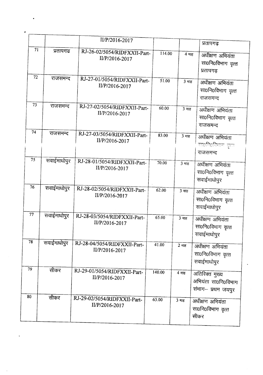|    |    |             | II/P/2016-2017                                 |        |                    |                                                             |
|----|----|-------------|------------------------------------------------|--------|--------------------|-------------------------------------------------------------|
|    |    |             |                                                |        |                    | प्रतापगढ                                                    |
|    | 71 | प्रतापगढ    | RJ-26-02/5054/RIDFXXII-Part-<br>II/P/2016-2017 | 114.00 | 4 माह              | अधीक्षण अभियंता<br>सा0नि0विभाग वृत्त<br>प्रतापगढ़           |
|    | 72 | राजसमन्द    | RJ-27-01/5054/RIDFXXII-Part-<br>II/P/2016-2017 | 51.00  | 3 माह              | अधीक्षण अभियंता<br>सा0नि0विभाग वृत्त<br>राजसमन्द            |
|    | 73 | राजसमन्द    | RJ-27-02/5054/RIDFXXII-Part-<br>II/P/2016-2017 | 60.00  | $3 \overline{418}$ | अधीक्षण अभियंता<br>सा0नि0विभाग वृत्त<br>राजसमन्द            |
|    | 74 | राजसमन्द    | RJ-27-03/5054/RIDFXXII-Part-<br>II/P/2016-2017 | 83.00  | $3 \text{ H}$ ह    | अधीक्षण अभियंता<br>राा0नि0विभागः वृत्त<br>राजसमन्द          |
|    | 75 | सवाईमाधोपुर | RJ-28-01/5054/RIDFXXII-Part-<br>II/P/2016-2017 | 70.00  | $3 \text{ H}$ ह    | अधीक्षण अभियंता<br>सा0नि0विभाग वृत्त<br>सवाईमाधोपुर         |
|    | 76 | सवाईमाधोपुर | RJ-28-02/5054/RIDFXXII-Part-<br>II/P/2016-2017 | 62.00  | $3 \overline{4}$   | अधीक्षण अभियंता<br>सा0नि0विभाग वृत्त<br>सवाईमाधोपुर         |
|    | 77 | सवाईमाधोपुर | RJ-28-03/5054/RIDFXXII-Part-<br>II/P/2016-2017 | 65.00  | 3 माह              | अधीक्षण अभियंता<br>सा0नि0विभाग वृत्त<br>सवाईमाधोपुर         |
|    | 78 | सवाईमाधोपुर | RJ-28-04/5054/RIDFXXII-Part-<br>II/P/2016-2017 | 41.00  | 2 माह              | अधीक्षण अभियंता<br>सा0नि0विभाग वृत्त<br>सवाईमाधोपुर         |
|    | 79 | सीकर        | RJ-29-01/5054/RIDFXXII-Part-<br>II/P/2016-2017 | 140.00 | 4 माह              | अतिरिक्त मुख्य<br>अभियंता सा0नि0विभाग<br>संभाग- प्रथम जयपुर |
| 80 |    | सीकर        | RJ-29-02/5054/RIDFXXII-Part-<br>II/P/2016-2017 | 63.00  | 3 माह              | अधीक्षण अभियंता<br>सा0नि0विभाग वृत्त<br>सीकर                |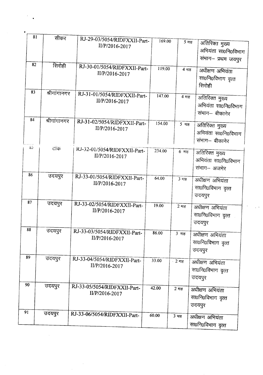|    | 81         | सीकर         | RJ-29-03/5054/RIDFXXII-Part-                   | 169.00 | $5 \pi$ ह              |                     |
|----|------------|--------------|------------------------------------------------|--------|------------------------|---------------------|
|    |            |              | II/P/2016-2017                                 |        |                        | अतिरिक्त मुख्य      |
|    |            |              |                                                |        |                        | अभियंता सा0नि0विभाग |
|    |            |              |                                                |        |                        | संभाग- प्रथम जयपुर  |
|    | 82         | सिरोही       | RJ-30-01/5054/RIDFXXII-Part-                   | 119.00 |                        |                     |
|    |            |              | II/P/2016-2017                                 |        | $4 \text{ }\text{H}$ ह | अधीक्षण अभियंता     |
|    |            |              |                                                |        |                        | सा0नि0विभाग वृत्त   |
|    |            |              |                                                |        |                        | सिरोही              |
|    | 83         | श्रीगांगानगर | RJ-31-01/5054/RIDFXXII-Part-                   | 147.00 |                        |                     |
|    |            |              | II/P/2016-2017                                 |        | 4 माह                  | अतिरिक्त मुख्य      |
|    |            |              |                                                |        |                        | अभियंता सा0नि0विभाग |
|    |            |              |                                                |        |                        | संभाग– बीकानेर      |
|    | 84         | श्रीगांगानगर | RJ-31-02/5054/RIDFXXII-Part-                   | 154.00 |                        |                     |
|    |            |              | II/P/2016-2017                                 |        | $5$ माह                | अतिरिक्त मुख्य      |
|    |            |              |                                                |        |                        | अभियंता सा0नि0विभाग |
|    |            |              |                                                |        |                        | संभाग— बीकानेर      |
|    | $\delta$ 5 | टांक         | RJ-32-01/5054/RIDFXXII-Part-                   |        |                        |                     |
|    |            |              | II/P/2016-2017                                 | 234.00 | $6$ माह                | अतिरिक्त मुख्य      |
|    |            |              |                                                |        |                        | अभियंता सा0नि0विभाग |
|    |            |              |                                                |        |                        | संभाग- अजमेर        |
|    | 86         | उदयपुर       | RJ-33-01/5054/RIDFXXII-Part-                   |        |                        |                     |
|    |            |              | II/P/2016-2017                                 | 64.00  | $3 \overline{H}$       | अधीक्षण अभियंता     |
|    |            |              |                                                |        |                        | सा0नि0विभाग वृत्त   |
|    |            |              |                                                |        |                        | उदयपुर              |
|    | 87         | उदयपुर       | RJ-33-02/5054/RIDFXXII-Part-                   |        |                        |                     |
|    |            |              | II/P/2016-2017                                 | 19.00  | $2 \pi$ ह              | अधीक्षण अभियंता     |
|    |            |              |                                                |        |                        | सा0नि0विभाग वृत्त   |
|    |            |              |                                                |        |                        | उदयपुर              |
| 88 |            | उदयपुर       | RJ-33-03/5054/RIDFXXII-Part-                   |        |                        |                     |
|    |            |              | II/P/2016-2017                                 | 86.00  | 3 माह                  | अधीक्षण अभियंता     |
|    |            |              |                                                |        |                        | सा0नि0विभाग वृत्त   |
|    |            |              |                                                |        |                        | उदयपुर              |
| 89 |            | उदयपुर       |                                                |        |                        |                     |
|    |            |              | RJ-33-04/5054/RIDFXXII-Part-<br>II/P/2016-2017 | 33.00  | $-2$ माह               | अधीक्षण अभियंता     |
|    |            |              |                                                |        |                        | सा0नि0विभाग वृत्त   |
|    |            |              |                                                |        |                        | उदयपुर              |
| 90 |            |              |                                                |        |                        |                     |
|    |            | उदयपुर       | RJ-33-05/5054/RIDFXXII-Part-                   | 42.00  | $2 \pi$ ह              | अधीक्षण अभियंता     |
|    |            |              | II/P/2016-2017                                 |        |                        | सा0नि0विभाग वृत्त   |
|    |            |              |                                                |        |                        | उदयपुर              |
| 91 |            |              |                                                |        |                        |                     |
|    |            | उदयपुर       | RJ-33-06/5054/RIDFXXII-Part-                   | 60.00  | 3 माह                  | अधीक्षण अभियंता     |
|    |            |              |                                                |        |                        | सा0नि0विभाग वृत्त   |
|    |            |              |                                                |        |                        |                     |

 $\mathbb{R}^{d-1}$ 

 $\hat{\gamma}$ ٠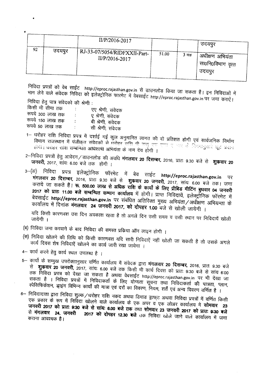| 92 |        | II/P/2016-2017                                   |       |       | उदयपुर                                             |
|----|--------|--------------------------------------------------|-------|-------|----------------------------------------------------|
|    | उदयपुर | RJ-33-07/5054/RIDFXXII-Part-<br>$II/P/2016-2017$ | 51.00 | 3 माह | । अधीक्षण अभियंता<br>। सा0नि0विभाग वृत्त<br>उदयपूर |

निविदा प्रपत्रों को वेब साईट http://eproc.rajasthan.gov.in से डाउनलोड किया जा सकता है। इन निविदाओं में ' IFF & Chang<br>भाग लेने वाले संवेदक निविदा को इलेक्ट्रोनिक फारमेट में वेबसाईट http://eproc.rajasthan.gov.in पर जमा कराऐं।

निविदा हेतु पात्र संवेदको की श्रेणी :

•

| किसी भी सीमा तक  |    | एए श्रेणी, संवेदक |
|------------------|----|-------------------|
| रूपये 300 लाख तक | ÷  | ए श्रेणी, संवेदक  |
| रूपये 150 लाख तक | ÷  | बी श्रेणी, संवेदक |
| रूपये 50 लाख तक  | ÷. | सी श्रेणी, संवेदक |

- 1- ~ ~ f.1fcRT <sup>~</sup> if ~ ~ ~ 31jSiIPlct cwru cp'1 GT <sup>~</sup> N<fi <sup>~</sup> fiI4\i1Pl¢ <sup>~</sup> +'?.,~ <sup>~</sup> ." .~ """'\' <sup>~</sup> \_\_\_\_c::,\_ ..c.. , 0, . IPHET MORSUL H YOLOGI सबदकों से धरोहर राशि पी उद्यु एक एन्ड ए आर के नियमानुसार छूट प्रदान<br>होगी। घरोहर राशि सम्बन्धित <mark>अधिशाषी अभियंता के नाम देय होगी ।</mark>
- 2-fill | घरीहर राशि सम्बन्धित अधिशाषी अभियंता के नाम देय होगी |<br>2-निविदा प्रपत्रों हेतु आवेदन / डाउनलोड की अवधि **मंगलवार 20 दिसम्बर,** 2016, प्रातः 9.30 बजे से शुक्रवार 20 जनवरी, 2017, सांयः 6.00 बजे तक) होगी ।
- 3-(31) f.ifcRr ~ ~~~lf.iCb <sup>~</sup> *<sup>1</sup>'i im ~* **http://eproc.rajasthan.gov.in** tR  $\frac{1}{2}$ मंगलवार 20 दिसम्बर, 2016, प्रातः 9.30 बजे से **शुकवार 20 जनवरी,** 2017, सांयः 6.00 बजे तक। जमा कराये जा सकते है। रू. 500.00 लाख से अधिक राशि के कार्यों के लिए प्रीबिड मीटिंग बुधवार 04 जनवरी  $\frac{1}{2017}$  को प्रातः 11.00 बजे सम्बन्धित सम्भाग कार्यालय में होगी। प्राप्त निविदायें, इलेक्ट्रोनिक फॉरमेट में बेवसाईट **http://eproc.rajasthan.gov.in** पर संबंधित अतिरिक्त मुख्य अभियंता/अधीक्षण अभियन्ता के CbI~fC1~ *<sup>1</sup>'i <sup>~</sup>* \*'Cllql~ **<sup>24</sup> <sup>~</sup> 2017, cp)- <sup>~</sup> 1.00 <sup>~</sup> <sup>~</sup> <sup>~</sup> <sup>~</sup>** I

यदि किसी कारणवश उस दिन अवकाश रहता है तो अगले दिन उसी समय व उसी स्थान पर निविदायें खोली

- (ब) निविदा जमा करवाने के बाद निविदा की समस्त प्रकिया ऑन लाइन होगी ।
- (स) निविदा खोलने की तिथि को किसी कारणवश यदि सारी निविदाएें नहीं खोली जा सकती है तो उसके अगले कार्य दिवस शेष निविदाऐं खोलने का कार्य जारी रखा जायेगा ।
- 4- कार्य करने हेतु कार्य स्थल उपलब्ध है ।
- 5– कार्यो के सम्मुख उपरोक्तानुसार वर्णित कार्यालय में संवेदक द्वारा **मंगलवार 20 दिसम्बर,** 2016, प्रातः 9.30 ब<br>— से **शकवार 20 जनवरी**, 2017, उसंस, 200 करे - Q Q मंगलवा**र 20 दिसम्बर,** 2016, प्रातः 9.30 ब **~ ~ 20 ~,** 2017, x:rm: 6,00 <sup>~</sup> (fCf) <sup>~</sup> '4T ~ ~ CIlT J;ffil: 9:30 <sup>~</sup> <sup>~</sup> x:rm 6:00 तक निविदा प्रपत्र को देखा जा सकता है अथवा वेबसाईट http://eproc.rajasthan.gov.in पर भी देखा जा सकता है । निविदा प्रपत्रों में निविदाकर्ता के लिए योग्यता सूचना तथा निविदाकर्ता की पात्रता, प्लान,  $\tau$ पेसिफिकेशन, झाइंग विभिन्न कार्यों की मात्रा एवं दरों का विवरण, नियम, शर्तें एवं अन्य विवरण वर्णित है)
- 6- निविदादाता द्वारा निविदा शुल्क⁄धरोहर राशि नकद अथवा डिमाड ड्राफ्ट अथवा निविदा प्रपत्रों में वर्णित किसी ~m \* ~ if f.1fcrGT <sup>~</sup> <sup>~</sup> CJ)1~r<1~ \* ~ 3f'R <sup>q</sup> <sup>~</sup> "<1T3R CJ)1~r<1111) **ffiJfql'< <sup>23</sup> <sup>~</sup> <sup>2017</sup> qij m: 9:30 <sup>~</sup> ~~: 6.00 <sup>~</sup>** (Jif) <sup>~</sup> ~'{ **<sup>23</sup> <sup>~</sup> <sup>2017</sup> qij lffif. 9:30 <sup>~</sup> 2017 को दोपहर 12.30 बजे** राक निविदा खोले जाने वाले कार्यालय में जमा कराना आवश्यक है।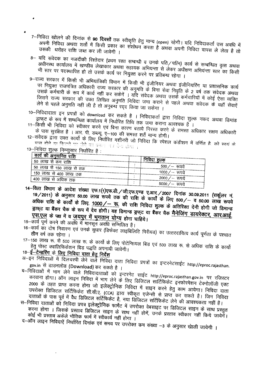- 7-निविदा खोलने की दिनांक से **90 दिवसों** तक स्वीकृति हेतु मान्य (open) रहेगी। यदि निविदाकर्ता उस अवधि में जनना गायपा अथवा शता म किसी प्रकार का संशोधन करता है , उनका अपनी निविद्या तामच <del>ने केन्न आहे.</del><br>उसकी धर्महर <del>गणि कर क</del> की <sub>प</sub>े हैं उसकी धरोहर राशि जब्त कर ली जावेगी ।
- 8– यदि संवेदक का नजदीकी रिश्तेदार (प्रथम रक्त सम्बन्धी व उनके पति/पत्नि) कार्य से सम्बन्धित वृत्त अथवा ~ Communist Communist Communist Communist Communist Communist Communist Communist Communist Communist Communis<br>अधीनस्थ कार्यालय में खण्डीय लेखाकार अथवा सहायक अभियन्ता से लेकर अधीक्षण अभियन्ता स्तर का किसी भी स्तर पर पदस्थापित हो तो उसके कार्य पर नियुक्त करने पर प्रतिबन्ध रहेगा ।
- 9- राज्य सरकार में किसी भी अभियांत्रिकी विभाग में किसी भी इंजीनियर अथवा इंजीनियरिंग या प्रशासनिक कार्य ...<br>पर नियुक्त राजपत्रित अधिकारी राज्य सरकार की अनुमति के बिना सेवा निवृति के 2 वर्ष तक संवेदक अथवा *<sup>~</sup> Cf)4i11~ cfi* "\?i)q if "Cf>T<f <sup>~</sup> erR <sup>~</sup> <sup>I</sup> <sup>~</sup> <sup>~</sup> 3ll?fflT <sup>~</sup> *Cf>4i1IR<it* if ~ ~ ~ -<br>जिसने राज्य सरकार की उक्त लिखित अनुमति निविदा जमा कराने से पहले अथवा संवेदक के यहाँ सेवाऐं लेने से पहले अनुमति नहीं ली है तो अनुबन्ध रद्द किया जा सकेगा ।
- 10–निविदादाता इन प्रपत्रों को download कर सकते है । निविदाकर्ता द्वारा निविदा शुल्क नकद अथवा डिमांड *<sup>~</sup> cfi* "\?i)q if ~ *Cf)*IqfC'l<1-q <sup>~</sup> <sup>~</sup> 0qJ \il1IT Cf>XRT <sup>311</sup>Cl <sup>~</sup> <sup>q</sup> *Cf> <sup>~</sup>* <sup>I</sup>
- 11-किसी भी निविदा को स्वीकार करने एवं बिना कारण बताये निरस्त करने के समस्त अधिकार सक्षम अधिकारी  $\vec{a}$  पास सुरक्षित है । आर. पी. डब्ल्यू. ए-100 की समस्त शर्ते मान्य होगी।
- 
- 12-~संवेदक द्वारा उक्त कार्यो के लिए निर्धारित मशीनरी जो निविदा कि स्पेशल कंडीशन में वर्णित है. को स्वयं के<br>- पास होने या किराये पर जेने का प्रमान का देवा बंगा  $13$ --निविदा शुल्क निम्नुसार निर्धारित है :
- 

•

 $\bullet$ 

| , <u>काय क</u> ा अनुमानित राशि |                  |
|--------------------------------|------------------|
| 50 लाख से कम राशि              | निविदा शुल्क     |
| , 50 लाख से 150 लाख से तक      | 500/ $-$ रुपये   |
| , 150 लाख से 400 लाख तक        | 1000/— रुपये     |
| 400 लाख से अधिक तक             | 2000 $/$ – रुपये |
| $\sim$                         | 5000/ $-$ रुपये  |

- 14-~ <sup>~</sup> It ~ ~ ~.1(1)~.~./uft.~.~ ~.3TR./2007 <sup>~</sup> 30.092011 t-fltt!cl-< *-.=t.* 19/2011) It ~ 50.00 t>rffi( <sup>~</sup> (fq) <sup>~</sup> <sup>~</sup> It "ii>Tlif *cfi <sup>~</sup>* 500/\_ if 50.00 t>fRi <sup>~</sup> अधिक राशि के कार्यों के लिए. <u>1000 /-- रू.</u> की राशि निविदा शुल्क के अतिरिक्त देनी होगी जो डिमान्ड ड़ाफ्ट या बैंकर चैक के रूप में देय होगी। यह डिमान्ड ड्रफ्ट या बैंकर चैक मैनेजिंग डायरेक्टर, आर.आई. एस.एल के पक्ष में व जयपुर में भुगतान योग्य होना चाहिये।
- 15- कार्य पूर्ण करने की अवधि में मानसून अवधि सम्मिलित है।
- 16-"Cf>T<fq)T ~ ~ ~ ~ ~ (fWcrc C11~Rlfc:!Fe~) q)T \jfC1\?~I~~ "Cf>T<f ~ *cfi ~* tfFr ~ 0qJ w.rr I
- 17-150 c;r "\;r" (1700 cited to the chall of loty yields and also reduced also contains to a sport of the contain हेतु पोस्ट क्वालिफिकेशन बिड पद्धति अपनायी जावेगी। हेतु पोस्ट *क्वालिफिकेशन बिड पद्धति अपनायी जावेगी।*<br>18-<del>-ई-टेन्डरिंग</del> के लिए निविदा दाता हेतु निर्देश

- 3l-~ f.1fctcrr3IT *i:i* ~C1i1f{ff ~ ~ ~ GTIff f.1fctcrr >lL1?IT q)T ~rc\?~c'fll~c http://eproc.rajasthan. gov.in से डाउनलोड (Download) कर सकते है ।
- ~-~ if ~ ~ ~ P!Fcl~I~Ii.113ITct>T ~rc\?~c <sup>~</sup> http://eproc.rajasthan.gov.in lR '?ftt'R\?"  $\sigma$ रवाना होगा। ऑन लाइन निविदा में भाग लेने के लिए डिजिटल सार्टिफिकेट इनफोरमेशन टेक्नोलॉजी एक्ट 2000 के तहत प्राप्त करना होगा जो इलेक्ट्रोनिक निविदा में साइन करने हेतु काम आयेगा। निविदा दाता uvरोक्त डिजिटल सर्टिफिकेट सी.सी.ए. (CCA) द्वारा स्वीकृत एजेन्सी से प्राप्त कर सकते है। जिन निविदा - *ching if the ching with the ching computer of the ching if the ching* in the ching of the ching of the ching  $\epsilon$
- स–निविदा दाताओं को निविदा प्रपत्र इलेक्ट्रोनिक फार्मेट में उपरोक्त वेबसाइट पर डिजिटल साइन के साथ प्रस्तुत करना होगा । जिसके प्रस्ताव डिजिटल साइन के साथ नहीं होगें, उनके प्रस्ताव स्वीकार नहीं किये जायेर्गें। <sup>~</sup> '4T "Q"ffiJCf <sup>~</sup> <sup>~</sup> lJ>T4 *i:i <sup>~</sup>* <"Jtl fWrr I द-ऑन लाइन निविदाऐं निर्धारित दिनांक एवं समय पर उपरोक्त कम संख्या -3 के अनुसार खेाली जायेगी ।
-